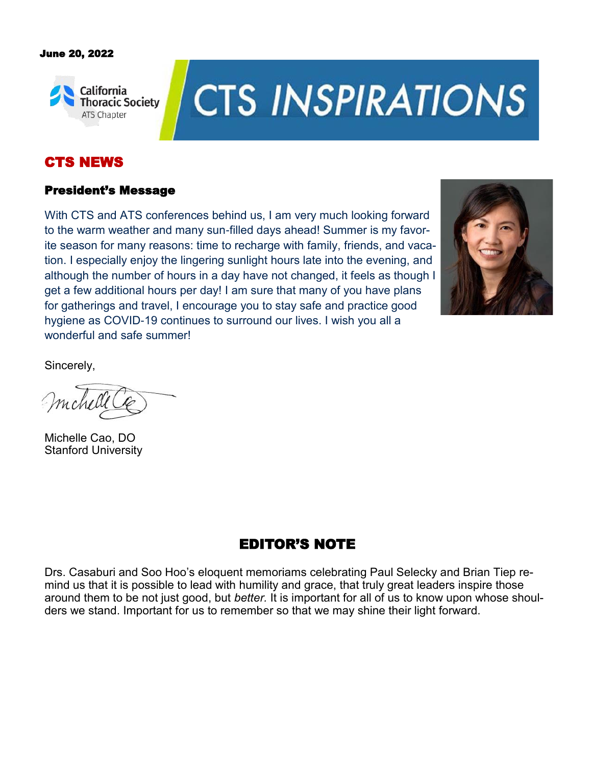#### June 20, 2022



# **CTS INSPIRATIONS**

# CTS NEWS

#### President's Message

With CTS and ATS conferences behind us, I am very much looking forward to the warm weather and many sun-filled days ahead! Summer is my favorite season for many reasons: time to recharge with family, friends, and vacation. I especially enjoy the lingering sunlight hours late into the evening, and although the number of hours in a day have not changed, it feels as though I get a few additional hours per day! I am sure that many of you have plans for gatherings and travel, I encourage you to stay safe and practice good hygiene as COVID-19 continues to surround our lives. I wish you all a wonderful and safe summer!



Sincerely,

Michelle Cao, DO Stanford University

# EDITOR'S NOTE

Drs. Casaburi and Soo Hoo's eloquent memoriams celebrating Paul Selecky and Brian Tiep remind us that it is possible to lead with humility and grace, that truly great leaders inspire those around them to be not just good, but *better.* It is important for all of us to know upon whose shoulders we stand. Important for us to remember so that we may shine their light forward.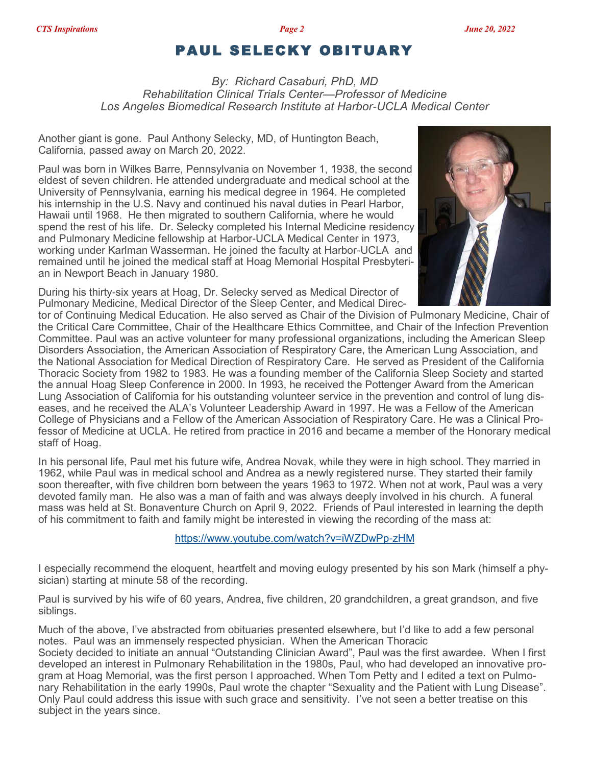### PAUL SELECKY OBITUARY

*By: Richard Casaburi, PhD, MD Rehabilitation Clinical Trials Center—Professor of Medicine Los Angeles Biomedical Research Institute at Harbor-UCLA Medical Center*

Another giant is gone. Paul Anthony Selecky, MD, of Huntington Beach, California, passed away on March 20, 2022.

Paul was born in Wilkes Barre, Pennsylvania on November 1, 1938, the second eldest of seven children. He attended undergraduate and medical school at the University of Pennsylvania, earning his medical degree in 1964. He completed his internship in the U.S. Navy and continued his naval duties in Pearl Harbor, Hawaii until 1968. He then migrated to southern California, where he would spend the rest of his life. Dr. Selecky completed his Internal Medicine residency and Pulmonary Medicine fellowship at Harbor-UCLA Medical Center in 1973, working under Karlman Wasserman. He joined the faculty at Harbor-UCLA and remained until he joined the medical staff at Hoag Memorial Hospital Presbyterian in Newport Beach in January 1980.





tor of Continuing Medical Education. He also served as Chair of the Division of Pulmonary Medicine, Chair of the Critical Care Committee, Chair of the Healthcare Ethics Committee, and Chair of the Infection Prevention Committee. Paul was an active volunteer for many professional organizations, including the American Sleep Disorders Association, the American Association of Respiratory Care, the American Lung Association, and the National Association for Medical Direction of Respiratory Care. He served as President of the California Thoracic Society from 1982 to 1983. He was a founding member of the California Sleep Society and started the annual Hoag Sleep Conference in 2000. In 1993, he received the Pottenger Award from the American Lung Association of California for his outstanding volunteer service in the prevention and control of lung diseases, and he received the ALA's Volunteer Leadership Award in 1997. He was a Fellow of the American College of Physicians and a Fellow of the American Association of Respiratory Care. He was a Clinical Professor of Medicine at UCLA. He retired from practice in 2016 and became a member of the Honorary medical staff of Hoag.

In his personal life, Paul met his future wife, Andrea Novak, while they were in high school. They married in 1962, while Paul was in medical school and Andrea as a newly registered nurse. They started their family soon thereafter, with five children born between the years 1963 to 1972. When not at work, Paul was a very devoted family man. He also was a man of faith and was always deeply involved in his church. A funeral mass was held at St. Bonaventure Church on April 9, 2022. Friends of Paul interested in learning the depth of his commitment to faith and family might be interested in viewing the recording of the mass at:

<https://www.youtube.com/watch?v=iWZDwPp-zHM>

I especially recommend the eloquent, heartfelt and moving eulogy presented by his son Mark (himself a physician) starting at minute 58 of the recording.

Paul is survived by his wife of 60 years, Andrea, five children, 20 grandchildren, a great grandson, and five siblings.

Much of the above, I've abstracted from obituaries presented elsewhere, but I'd like to add a few personal notes. Paul was an immensely respected physician. When the American Thoracic Society decided to initiate an annual "Outstanding Clinician Award", Paul was the first awardee. When I first

developed an interest in Pulmonary Rehabilitation in the 1980s, Paul, who had developed an innovative program at Hoag Memorial, was the first person I approached. When Tom Petty and I edited a text on Pulmonary Rehabilitation in the early 1990s, Paul wrote the chapter "Sexuality and the Patient with Lung Disease". Only Paul could address this issue with such grace and sensitivity. I've not seen a better treatise on this subject in the years since.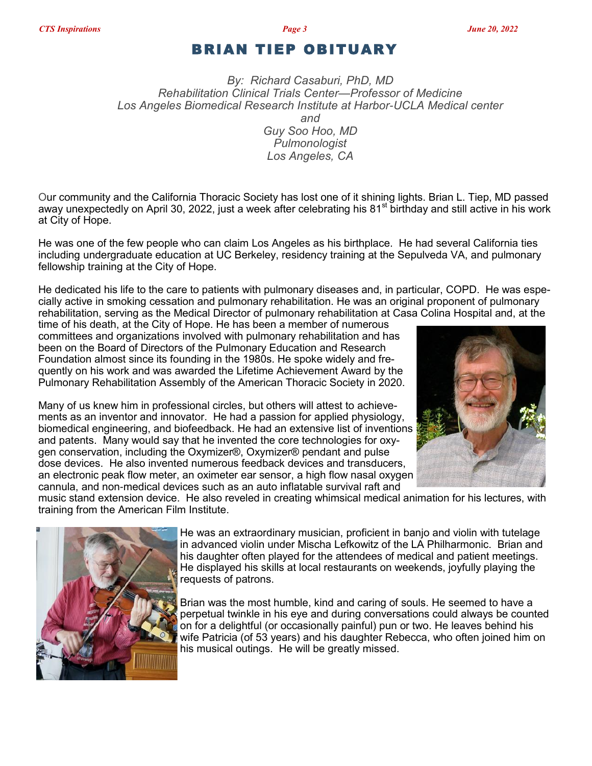#### BRIAN TIEP OBITUARY

*By: Richard Casaburi, PhD, MD Rehabilitation Clinical Trials Center—Professor of Medicine Los Angeles Biomedical Research Institute at Harbor-UCLA Medical center and Guy Soo Hoo, MD Pulmonologist Los Angeles, CA*

Our community and the California Thoracic Society has lost one of it shining lights. Brian L. Tiep, MD passed away unexpectedly on April 30, 2022, just a week after celebrating his 81<sup>st</sup> birthday and still active in his work at City of Hope.

He was one of the few people who can claim Los Angeles as his birthplace. He had several California ties including undergraduate education at UC Berkeley, residency training at the Sepulveda VA, and pulmonary fellowship training at the City of Hope.

He dedicated his life to the care to patients with pulmonary diseases and, in particular, COPD. He was especially active in smoking cessation and pulmonary rehabilitation. He was an original proponent of pulmonary rehabilitation, serving as the Medical Director of pulmonary rehabilitation at Casa Colina Hospital and, at the

time of his death, at the City of Hope. He has been a member of numerous committees and organizations involved with pulmonary rehabilitation and has been on the Board of Directors of the Pulmonary Education and Research Foundation almost since its founding in the 1980s. He spoke widely and frequently on his work and was awarded the Lifetime Achievement Award by the Pulmonary Rehabilitation Assembly of the American Thoracic Society in 2020.

Many of us knew him in professional circles, but others will attest to achievements as an inventor and innovator. He had a passion for applied physiology, biomedical engineering, and biofeedback. He had an extensive list of inventions and patents. Many would say that he invented the core technologies for oxygen conservation, including the Oxymizer®, Oxymizer® pendant and pulse dose devices. He also invented numerous feedback devices and transducers, an electronic peak flow meter, an oximeter ear sensor, a high flow nasal oxygen cannula, and non-medical devices such as an auto inflatable survival raft and



music stand extension device. He also reveled in creating whimsical medical animation for his lectures, with training from the American Film Institute.



He was an extraordinary musician, proficient in banjo and violin with tutelage in advanced violin under Mischa Lefkowitz of the LA Philharmonic. Brian and his daughter often played for the attendees of medical and patient meetings. He displayed his skills at local restaurants on weekends, joyfully playing the requests of patrons.

Brian was the most humble, kind and caring of souls. He seemed to have a perpetual twinkle in his eye and during conversations could always be counted on for a delightful (or occasionally painful) pun or two. He leaves behind his wife Patricia (of 53 years) and his daughter Rebecca, who often joined him on his musical outings. He will be greatly missed.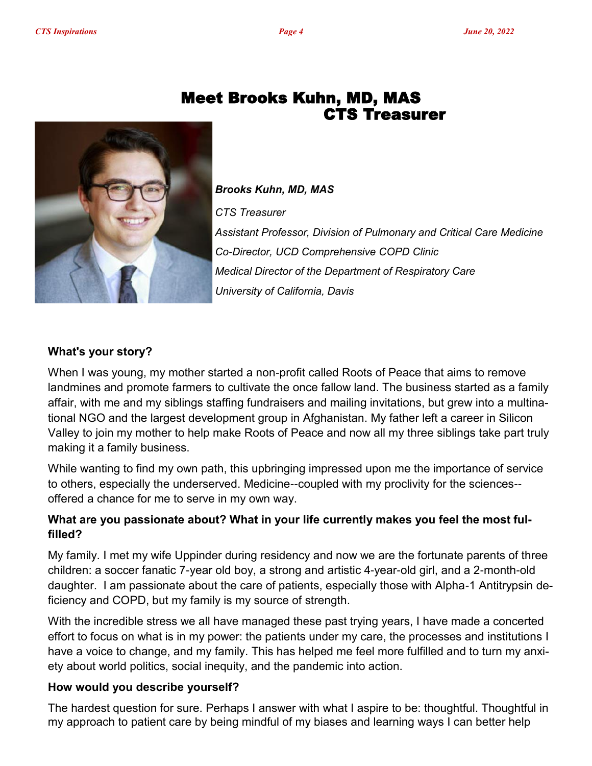

# Meet Brooks Kuhn, MD, MAS CTS Treasurer

*Brooks Kuhn, MD, MAS CTS Treasurer Assistant Professor, Division of Pulmonary and Critical Care Medicine Co-Director, UCD Comprehensive COPD Clinic Medical Director of the Department of Respiratory Care University of California, Davis*

#### **What's your story?**

When I was young, my mother started a non-profit called Roots of Peace that aims to remove landmines and promote farmers to cultivate the once fallow land. The business started as a family affair, with me and my siblings staffing fundraisers and mailing invitations, but grew into a multinational NGO and the largest development group in Afghanistan. My father left a career in Silicon Valley to join my mother to help make Roots of Peace and now all my three siblings take part truly making it a family business.

While wanting to find my own path, this upbringing impressed upon me the importance of service to others, especially the underserved. Medicine--coupled with my proclivity for the sciences- offered a chance for me to serve in my own way.

#### **What are you passionate about? What in your life currently makes you feel the most fulfilled?**

My family. I met my wife Uppinder during residency and now we are the fortunate parents of three children: a soccer fanatic 7-year old boy, a strong and artistic 4-year-old girl, and a 2-month-old daughter. I am passionate about the care of patients, especially those with Alpha-1 Antitrypsin deficiency and COPD, but my family is my source of strength.

With the incredible stress we all have managed these past trying years, I have made a concerted effort to focus on what is in my power: the patients under my care, the processes and institutions I have a voice to change, and my family. This has helped me feel more fulfilled and to turn my anxiety about world politics, social inequity, and the pandemic into action.

#### **How would you describe yourself?**

The hardest question for sure. Perhaps I answer with what I aspire to be: thoughtful. Thoughtful in my approach to patient care by being mindful of my biases and learning ways I can better help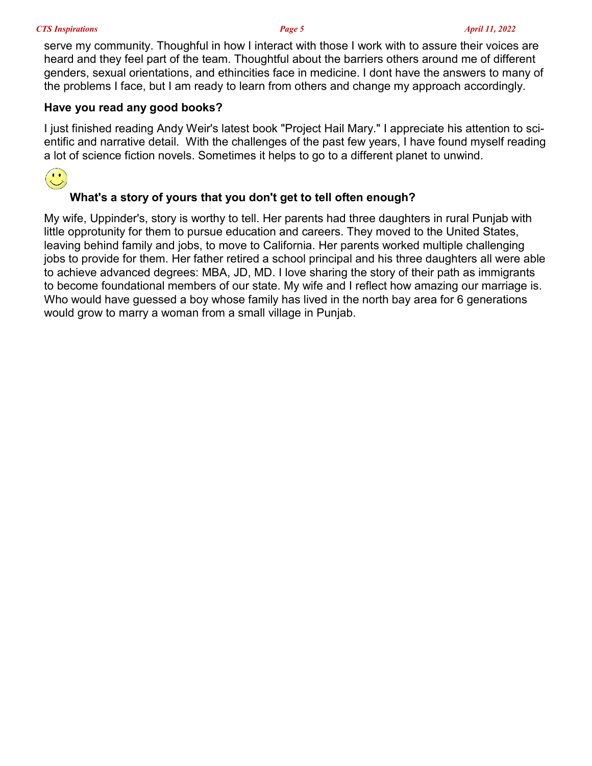serve my community. Thoughful in how I interact with those I work with to assure their voices are heard and they feel part of the team. Thoughtful about the barriers others around me of different genders, sexual orientations, and ethincities face in medicine. I dont have the answers to many of the problems I face, but I am ready to learn from others and change my approach accordingly.

#### **Have you read any good books?**

I just finished reading Andy Weir's latest book "Project Hail Mary." I appreciate his attention to scientific and narrative detail. With the challenges of the past few years, I have found myself reading a lot of science fiction novels. Sometimes it helps to go to a different planet to unwind.



#### **What's a story of yours that you don't get to tell often enough?**

My wife, Uppinder's, story is worthy to tell. Her parents had three daughters in rural Punjab with little opprotunity for them to pursue education and careers. They moved to the United States, leaving behind family and jobs, to move to California. Her parents worked multiple challenging jobs to provide for them. Her father retired a school principal and his three daughters all were able to achieve advanced degrees: MBA, JD, MD. I love sharing the story of their path as immigrants to become foundational members of our state. My wife and I reflect how amazing our marriage is. Who would have guessed a boy whose family has lived in the north bay area for 6 generations would grow to marry a woman from a small village in Punjab.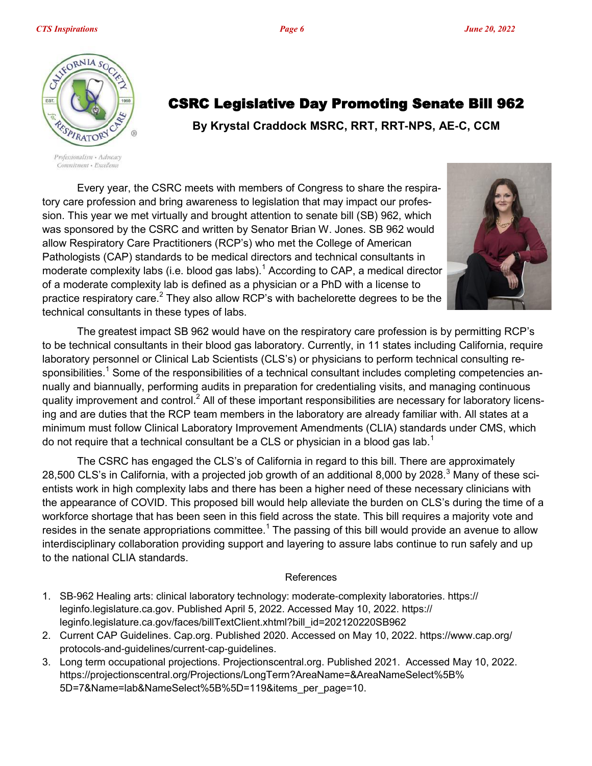CSRC Legislative Day Promoting Senate Bill 962

**By Krystal Craddock MSRC, RRT, RRT-NPS, AE-C, CCM**



Professionalism · Advocacy Commitment · Excellence

Every year, the CSRC meets with members of Congress to share the respiratory care profession and bring awareness to legislation that may impact our profession. This year we met virtually and brought attention to senate bill (SB) 962, which was sponsored by the CSRC and written by Senator Brian W. Jones. SB 962 would allow Respiratory Care Practitioners (RCP's) who met the College of American Pathologists (CAP) standards to be medical directors and technical consultants in moderate complexity labs (i.e. blood gas labs).<sup>1</sup> According to CAP, a medical director of a moderate complexity lab is defined as a physician or a PhD with a license to practice respiratory care.<sup>2</sup> They also allow RCP's with bachelorette degrees to be the technical consultants in these types of labs.



The greatest impact SB 962 would have on the respiratory care profession is by permitting RCP's to be technical consultants in their blood gas laboratory. Currently, in 11 states including California, require laboratory personnel or Clinical Lab Scientists (CLS's) or physicians to perform technical consulting responsibilities.<sup>1</sup> Some of the responsibilities of a technical consultant includes completing competencies annually and biannually, performing audits in preparation for credentialing visits, and managing continuous quality improvement and control.<sup>2</sup> All of these important responsibilities are necessary for laboratory licensing and are duties that the RCP team members in the laboratory are already familiar with. All states at a minimum must follow Clinical Laboratory Improvement Amendments (CLIA) standards under CMS, which do not require that a technical consultant be a CLS or physician in a blood gas lab.<sup>1</sup>

The CSRC has engaged the CLS's of California in regard to this bill. There are approximately 28,500 CLS's in California, with a projected job growth of an additional 8,000 by 2028.<sup>3</sup> Many of these scientists work in high complexity labs and there has been a higher need of these necessary clinicians with the appearance of COVID. This proposed bill would help alleviate the burden on CLS's during the time of a workforce shortage that has been seen in this field across the state. This bill requires a majority vote and resides in the senate appropriations committee. $^{\rm 1}$  The passing of this bill would provide an avenue to allow interdisciplinary collaboration providing support and layering to assure labs continue to run safely and up to the national CLIA standards.

#### References

- 1. SB-962 Healing arts: clinical laboratory technology: moderate-complexity laboratories. https:// leginfo.legislature.ca.gov. Published April 5, 2022. Accessed May 10, 2022. https:// leginfo.legislature.ca.gov/faces/billTextClient.xhtml?bill\_id=202120220SB962
- 2. Current CAP Guidelines. Cap.org. Published 2020. Accessed on May 10, 2022. https://www.cap.org/ protocols-and-guidelines/current-cap-guidelines.
- 3. Long term occupational projections. Projectionscentral.org. Published 2021. Accessed May 10, 2022. https://projectionscentral.org/Projections/LongTerm?AreaName=&AreaNameSelect%5B% 5D=7&Name=lab&NameSelect%5B%5D=119&items\_per\_page=10.